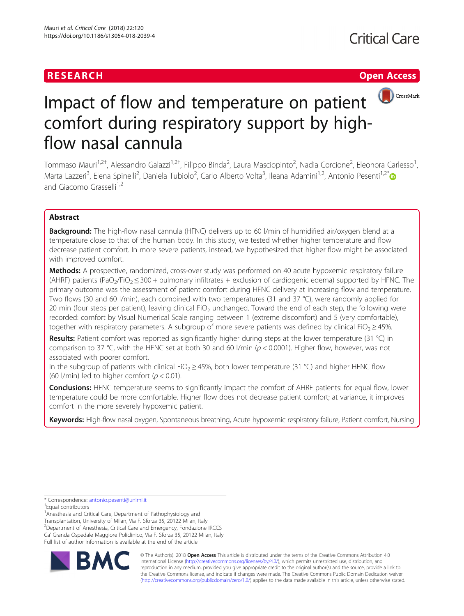# **RESEARCH CHEAR CHEAR CHEAR CHEAR CHEAR CHEAR CHEAR CHEAR CHEAR CHEAP CHEAP CHEAP CHEAP CHEAP CHEAP CHEAP CHEAP**



# Impact of flow and temperature on patient **OCCROSSMark** comfort during respiratory support by highflow nasal cannula

Tommaso Mauri<sup>1,2†</sup>, Alessandro Galazzi<sup>1,2†</sup>, Filippo Binda<sup>2</sup>, Laura Masciopinto<sup>2</sup>, Nadia Corcione<sup>2</sup>, Eleonora Carlesso<sup>1</sup> , Marta Lazzeri<sup>3</sup>, Elena Spinelli<sup>2</sup>, Daniela Tubiolo<sup>2</sup>, Carlo Alberto Volta<sup>3</sup>, Ileana Adamini<sup>1,2</sup>, Antonio Pesenti<sup>1,2\*</sup> and Giacomo Grasselli<sup>1,2</sup>

# Abstract

**Background:** The high-flow nasal cannula (HFNC) delivers up to 60 l/min of humidified air/oxygen blend at a temperature close to that of the human body. In this study, we tested whether higher temperature and flow decrease patient comfort. In more severe patients, instead, we hypothesized that higher flow might be associated with improved comfort.

Methods: A prospective, randomized, cross-over study was performed on 40 acute hypoxemic respiratory failure (AHRF) patients (PaO<sub>2</sub>/FiO<sub>2</sub>  $\leq$  300 + pulmonary infiltrates + exclusion of cardiogenic edema) supported by HFNC. The primary outcome was the assessment of patient comfort during HFNC delivery at increasing flow and temperature. Two flows (30 and 60 l/min), each combined with two temperatures (31 and 37 °C), were randomly applied for 20 min (four steps per patient), leaving clinical FiO<sub>2</sub> unchanged. Toward the end of each step, the following were recorded: comfort by Visual Numerical Scale ranging between 1 (extreme discomfort) and 5 (very comfortable), together with respiratory parameters. A subgroup of more severe patients was defined by clinical FiO<sub>2</sub> ≥ 45%.

Results: Patient comfort was reported as significantly higher during steps at the lower temperature (31 °C) in comparison to 37 °C, with the HFNC set at both 30 and 60 l/min ( $p < 0.0001$ ). Higher flow, however, was not associated with poorer comfort.

In the subgroup of patients with clinical FiO<sub>2</sub>  $\geq$  45%, both lower temperature (31 °C) and higher HFNC flow (60 l/min) led to higher comfort ( $p < 0.01$ ).

**Conclusions:** HFNC temperature seems to significantly impact the comfort of AHRF patients: for equal flow, lower temperature could be more comfortable. Higher flow does not decrease patient comfort; at variance, it improves comfort in the more severely hypoxemic patient.

Keywords: High-flow nasal oxygen, Spontaneous breathing, Acute hypoxemic respiratory failure, Patient comfort, Nursing

<sup>1</sup> Anesthesia and Critical Care, Department of Pathophysiology and Transplantation, University of Milan, Via F. Sforza 35, 20122 Milan, Italy <sup>2</sup> Department of Anesthesia, Critical Care and Emergency, Fondazione IRCCS Ca' Granda Ospedale Maggiore Policlinico, Via F. Sforza 35, 20122 Milan, Italy Full list of author information is available at the end of the article



© The Author(s). 2018 Open Access This article is distributed under the terms of the Creative Commons Attribution 4.0 International License [\(http://creativecommons.org/licenses/by/4.0/](http://creativecommons.org/licenses/by/4.0/)), which permits unrestricted use, distribution, and reproduction in any medium, provided you give appropriate credit to the original author(s) and the source, provide a link to the Creative Commons license, and indicate if changes were made. The Creative Commons Public Domain Dedication waiver [\(http://creativecommons.org/publicdomain/zero/1.0/](http://creativecommons.org/publicdomain/zero/1.0/)) applies to the data made available in this article, unless otherwise stated.

<sup>\*</sup> Correspondence: [antonio.pesenti@unimi.it](mailto:antonio.pesenti@unimi.it) †

Equal contributors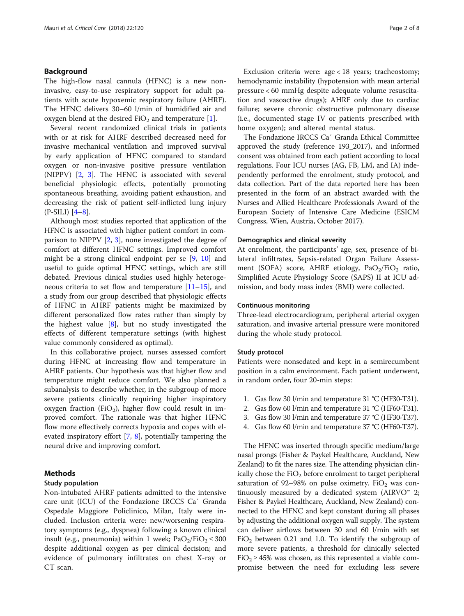# Background

The high-flow nasal cannula (HFNC) is a new noninvasive, easy-to-use respiratory support for adult patients with acute hypoxemic respiratory failure (AHRF). The HFNC delivers 30–60 l/min of humidified air and oxygen blend at the desired  $FiO<sub>2</sub>$  and temperature [[1\]](#page-6-0).

Several recent randomized clinical trials in patients with or at risk for AHRF described decreased need for invasive mechanical ventilation and improved survival by early application of HFNC compared to standard oxygen or non-invasive positive pressure ventilation (NIPPV) [\[2](#page-6-0), [3\]](#page-6-0). The HFNC is associated with several beneficial physiologic effects, potentially promoting spontaneous breathing, avoiding patient exhaustion, and decreasing the risk of patient self-inflicted lung injury  $(P-SILLI)$   $[4-8]$  $[4-8]$  $[4-8]$  $[4-8]$ .

Although most studies reported that application of the HFNC is associated with higher patient comfort in comparison to NIPPV  $[2, 3]$  $[2, 3]$  $[2, 3]$  $[2, 3]$  $[2, 3]$ , none investigated the degree of comfort at different HFNC settings. Improved comfort might be a strong clinical endpoint per se [\[9](#page-6-0), [10\]](#page-6-0) and useful to guide optimal HFNC settings, which are still debated. Previous clinical studies used highly heterogeneous criteria to set flow and temperature  $[11-15]$  $[11-15]$  $[11-15]$  $[11-15]$  $[11-15]$ , and a study from our group described that physiologic effects of HFNC in AHRF patients might be maximized by different personalized flow rates rather than simply by the highest value  $[8]$  $[8]$ , but no study investigated the effects of different temperature settings (with highest value commonly considered as optimal).

In this collaborative project, nurses assessed comfort during HFNC at increasing flow and temperature in AHRF patients. Our hypothesis was that higher flow and temperature might reduce comfort. We also planned a subanalysis to describe whether, in the subgroup of more severe patients clinically requiring higher inspiratory oxygen fraction (FiO<sub>2</sub>), higher flow could result in improved comfort. The rationale was that higher HFNC flow more effectively corrects hypoxia and copes with elevated inspiratory effort [\[7](#page-6-0), [8\]](#page-6-0), potentially tampering the neural drive and improving comfort.

# Methods

# Study population

Non-intubated AHRF patients admitted to the intensive care unit (ICU) of the Fondazione IRCCS Ca′ Granda Ospedale Maggiore Policlinico, Milan, Italy were included. Inclusion criteria were: new/worsening respiratory symptoms (e.g., dyspnea) following a known clinical insult (e.g., pneumonia) within 1 week;  $PaO<sub>2</sub>/FiO<sub>2</sub> \le 300$ despite additional oxygen as per clinical decision; and evidence of pulmonary infiltrates on chest X-ray or CT scan.

Exclusion criteria were: age < 18 years; tracheostomy; hemodynamic instability (hypotension with mean arterial pressure < 60 mmHg despite adequate volume resuscitation and vasoactive drugs); AHRF only due to cardiac failure; severe chronic obstructive pulmonary disease (i.e., documented stage IV or patients prescribed with home oxygen); and altered mental status.

The Fondazione IRCCS Ca′ Granda Ethical Committee approved the study (reference 193\_2017), and informed consent was obtained from each patient according to local regulations. Four ICU nurses (AG, FB, LM, and IA) independently performed the enrolment, study protocol, and data collection. Part of the data reported here has been presented in the form of an abstract awarded with the Nurses and Allied Healthcare Professionals Award of the European Society of Intensive Care Medicine (ESICM Congress, Wien, Austria, October 2017).

# Demographics and clinical severity

At enrolment, the participants' age, sex, presence of bilateral infiltrates, Sepsis-related Organ Failure Assessment (SOFA) score, AHRF etiology,  $PaO<sub>2</sub>/FiO<sub>2</sub>$  ratio, Simplified Acute Physiology Score (SAPS) II at ICU admission, and body mass index (BMI) were collected.

# Continuous monitoring

Three-lead electrocardiogram, peripheral arterial oxygen saturation, and invasive arterial pressure were monitored during the whole study protocol.

# Study protocol

Patients were nonsedated and kept in a semirecumbent position in a calm environment. Each patient underwent, in random order, four 20-min steps:

- 1. Gas flow 30 l/min and temperature 31 °C (HF30-T31).
- 2. Gas flow 60 l/min and temperature 31 °C (HF60-T31).
- 3. Gas flow 30 l/min and temperature 37 °C (HF30-T37).
- 4. Gas flow 60 l/min and temperature 37 °C (HF60-T37).

The HFNC was inserted through specific medium/large nasal prongs (Fisher & Paykel Healthcare, Auckland, New Zealand) to fit the nares size. The attending physician clinically chose the  $FiO<sub>2</sub>$  before enrolment to target peripheral saturation of 92-98% on pulse oximetry.  $FiO<sub>2</sub>$  was continuously measured by a dedicated system (AIRVO<sup> $m$ </sup> 2; Fisher & Paykel Healthcare, Auckland, New Zealand) connected to the HFNC and kept constant during all phases by adjusting the additional oxygen wall supply. The system can deliver airflows between 30 and 60 l/min with set  $FiO<sub>2</sub>$  between 0.21 and 1.0. To identify the subgroup of more severe patients, a threshold for clinically selected FiO<sub>2</sub>  $\geq$  45% was chosen, as this represented a viable compromise between the need for excluding less severe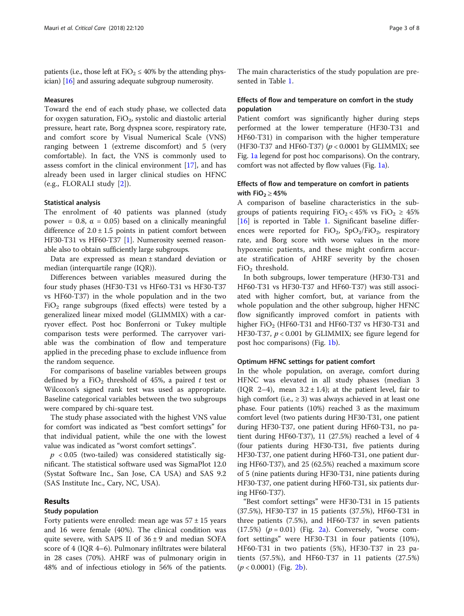patients (i.e., those left at FiO<sub>2</sub>  $\leq$  40% by the attending physician) [[16](#page-6-0)] and assuring adequate subgroup numerosity.

# Measures

Toward the end of each study phase, we collected data for oxygen saturation,  $FiO<sub>2</sub>$ , systolic and diastolic arterial pressure, heart rate, Borg dyspnea score, respiratory rate, and comfort score by Visual Numerical Scale (VNS) ranging between 1 (extreme discomfort) and 5 (very comfortable). In fact, the VNS is commonly used to assess comfort in the clinical environment [[17\]](#page-6-0), and has already been used in larger clinical studies on HFNC (e.g., FLORALI study [\[2](#page-6-0)]).

# Statistical analysis

The enrolment of 40 patients was planned (study power = 0.8,  $\alpha$  = 0.05) based on a clinically meaningful difference of  $2.0 \pm 1.5$  points in patient comfort between HF30-T31 vs HF60-T37 [\[1\]](#page-6-0). Numerosity seemed reasonable also to obtain sufficiently large subgroups.

Data are expressed as mean ± standard deviation or median (interquartile range (IQR)).

Differences between variables measured during the four study phases (HF30-T31 vs HF60-T31 vs HF30-T37 vs HF60-T37) in the whole population and in the two FiO<sub>2</sub> range subgroups (fixed effects) were tested by a generalized linear mixed model (GLIMMIX) with a carryover effect. Post hoc Bonferroni or Tukey multiple comparison tests were performed. The carryover variable was the combination of flow and temperature applied in the preceding phase to exclude influence from the random sequence.

For comparisons of baseline variables between groups defined by a FiO<sub>2</sub> threshold of 45%, a paired t test or Wilcoxon's signed rank test was used as appropriate. Baseline categorical variables between the two subgroups were compared by chi-square test.

The study phase associated with the highest VNS value for comfort was indicated as "best comfort settings" for that individual patient, while the one with the lowest value was indicated as "worst comfort settings".

 $p < 0.05$  (two-tailed) was considered statistically significant. The statistical software used was SigmaPlot 12.0 (Systat Software Inc., San Jose, CA USA) and SAS 9.2 (SAS Institute Inc., Cary, NC, USA).

# Results

# Study population

Forty patients were enrolled: mean age was  $57 \pm 15$  years and 16 were female (40%). The clinical condition was quite severe, with SAPS II of  $36 \pm 9$  and median SOFA score of 4 (IQR 4–6). Pulmonary infiltrates were bilateral in 28 cases (70%). AHRF was of pulmonary origin in 48% and of infectious etiology in 56% of the patients.

The main characteristics of the study population are presented in Table [1.](#page-3-0)

# Effects of flow and temperature on comfort in the study population

Patient comfort was significantly higher during steps performed at the lower temperature (HF30-T31 and HF60-T31) in comparison with the higher temperature (HF30-T37 and HF60-T37) ( $p < 0.0001$  by GLIMMIX; see Fig. [1a](#page-3-0) legend for post hoc comparisons). On the contrary, comfort was not affected by flow values (Fig. [1a](#page-3-0)).

# Effects of flow and temperature on comfort in patients with  $FiO<sub>2</sub> \ge 45%$

A comparison of baseline characteristics in the subgroups of patients requiring  $FiO_2 < 45\%$  vs  $FiO_2 \ge 45\%$ [[16\]](#page-6-0) is reported in Table [1](#page-3-0). Significant baseline differences were reported for  $FiO_2$ ,  $SpO_2/FiO_2$ , respiratory rate, and Borg score with worse values in the more hypoxemic patients, and these might confirm accurate stratification of AHRF severity by the chosen  $FiO<sub>2</sub>$  threshold.

In both subgroups, lower temperature (HF30-T31 and HF60-T31 vs HF30-T37 and HF60-T37) was still associated with higher comfort, but, at variance from the whole population and the other subgroup, higher HFNC flow significantly improved comfort in patients with higher FiO<sub>2</sub> (HF60-T31 and HF60-T37 vs HF30-T31 and HF30-T37,  $p < 0.001$  by GLIMMIX; see figure legend for post hoc comparisons) (Fig. [1b](#page-3-0)).

# Optimum HFNC settings for patient comfort

In the whole population, on average, comfort during HFNC was elevated in all study phases (median 3 (IQR 2–4), mean  $3.2 \pm 1.4$ ); at the patient level, fair to high comfort (i.e.,  $\geq$  3) was always achieved in at least one phase. Four patients (10%) reached 3 as the maximum comfort level (two patients during HF30-T31, one patient during HF30-T37, one patient during HF60-T31, no patient during HF60-T37), 11 (27.5%) reached a level of 4 (four patients during HF30-T31, five patients during HF30-T37, one patient during HF60-T31, one patient during HF60-T37), and 25 (62.5%) reached a maximum score of 5 (nine patients during HF30-T31, nine patients during HF30-T37, one patient during HF60-T31, six patients during HF60-T37).

"Best comfort settings" were HF30-T31 in 15 patients (37.5%), HF30-T37 in 15 patients (37.5%), HF60-T31 in three patients (7.5%), and HF60-T37 in seven patients (17.5%)  $(p = 0.01)$  (Fig. [2a\)](#page-4-0). Conversely, "worse comfort settings" were HF30-T31 in four patients (10%), HF60-T31 in two patients (5%), HF30-T37 in 23 patients (57.5%), and HF60-T37 in 11 patients (27.5%)  $(p < 0.0001)$  (Fig. [2b](#page-4-0)).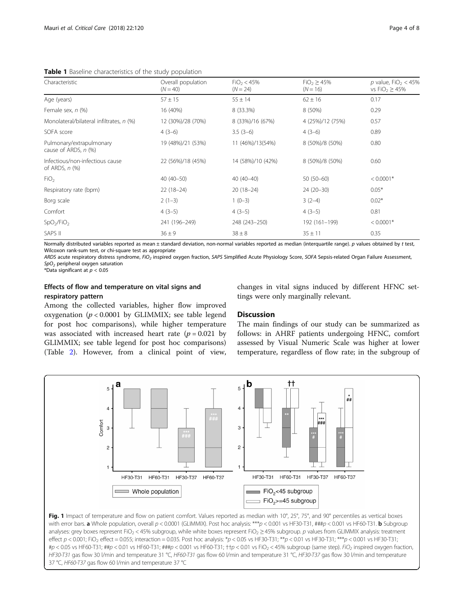<span id="page-3-0"></span>Table 1 Baseline characteristics of the study population

| Characteristic                                    | Overall population<br>$(N = 40)$ | FiO <sub>2</sub> < 45%<br>$(N = 24)$ | $FiO2 \ge 45%$<br>$(N = 16)$ | p value, FiO <sub>2</sub> < 45%<br>vs FiO <sub>2</sub> $\geq$ 45%<br>0.17<br>$62 \pm 16$ |  |
|---------------------------------------------------|----------------------------------|--------------------------------------|------------------------------|------------------------------------------------------------------------------------------|--|
| Age (years)                                       | $57 \pm 15$                      | $55 \pm 14$                          |                              |                                                                                          |  |
| Female sex, n (%)                                 | 16 (40%)                         | 8 (33.3%)                            | 8 (50%)                      | 0.29                                                                                     |  |
| Monolateral/bilateral infiltrates, n (%)          | 12 (30%)/28 (70%)                | 8 (33%)/16 (67%)                     | 4 (25%)/12 (75%)             | 0.57                                                                                     |  |
| SOFA score                                        | $4(3-6)$                         | $3.5(3-6)$                           | $4(3-6)$                     | 0.89                                                                                     |  |
| Pulmonary/extrapulmonary<br>cause of ARDS, n (%)  | 19 (48%)/21 (53%)                | 11 (46%)/13(54%)                     | 8 (50%)/8 (50%)              | 0.80                                                                                     |  |
| Infectious/non-infectious cause<br>of ARDS, n (%) | 22 (56%)/18 (45%)                | 14 (58%)/10 (42%)                    | 8 (50%)/8 (50%)              | 0.60                                                                                     |  |
| FiO <sub>2</sub>                                  | $40(40 - 50)$                    | $40(40-40)$                          | $50(50-60)$                  | $< 0.0001*$                                                                              |  |
| Respiratory rate (bpm)                            | $22(18-24)$                      | $20(18-24)$                          | $24(20-30)$                  | $0.05*$                                                                                  |  |
| Borg scale                                        | $2(1-3)$                         | $1(0-3)$                             | $3(2-4)$                     | $0.02*$                                                                                  |  |
| Comfort                                           | $4(3-5)$                         | $4(3-5)$                             | $4(3-5)$                     | 0.81                                                                                     |  |
| SpO <sub>2</sub> /FiO <sub>2</sub>                | 241 (196-249)                    | 248 (243-250)                        | 192 (161-199)                | $< 0.0001*$                                                                              |  |
| SAPS II                                           | $36 \pm 9$                       | $38 \pm 8$                           | $35 \pm 11$                  | 0.35                                                                                     |  |

Normally distributed variables reported as mean ± standard deviation, non-normal variables reported as median (interquartile range). p values obtained by t test, Wilcoxon rank-sum test, or chi-square test as appropriate

ARDS acute respiratory distress syndrome, FiO<sub>2</sub> inspired oxygen fraction, SAPS Simplified Acute Physiology Score, SOFA Sepsis-related Organ Failure Assessment,  $SpO<sub>2</sub>$  peripheral oxygen saturation

\*Data significant at  $p < 0.05$ 

# Effects of flow and temperature on vital signs and respiratory pattern

Among the collected variables, higher flow improved oxygenation ( $p < 0.0001$  by GLIMMIX; see table legend for post hoc comparisons), while higher temperature was associated with increased heart rate  $(p = 0.021$  by GLIMMIX; see table legend for post hoc comparisons) (Table [2](#page-4-0)). However, from a clinical point of view, changes in vital signs induced by different HFNC settings were only marginally relevant.

# **Discussion**

The main findings of our study can be summarized as follows: in AHRF patients undergoing HFNC, comfort assessed by Visual Numeric Scale was higher at lower temperature, regardless of flow rate; in the subgroup of



Fig. 1 Impact of temperature and flow on patient comfort. Values reported as median with 10°, 25°, 75°, and 90° percentiles as vertical boxes with error bars. a Whole population, overall  $p < 0.0001$  (GLIMMIX). Post hoc analysis: \*\*\*p < 0.001 vs HF30-T31, ###p < 0.001 vs HF60-T31. b Subgroup analyses: grey boxes represent FiO<sub>2</sub> < 45% subgroup, while white boxes represent FiO<sub>2</sub> ≥ 45% subgroup. p values from GLIMMIX analysis: treatment effect  $p < 0.001$ ; FiO<sub>2</sub> effect = 0.055; interaction = 0.035. Post hoc analysis: \*p < 0.05 vs HF30-T31; \*\*p < 0.01 vs HF30-T31; \*\*\*p < 0.001 vs HF30-T31;  $\text{\#p} < 0.05$  vs HF60-T31;  $\text{\#tp} < 0.01$  vs HF60-T31;  $\text{\#HP} < 0.001$  vs HF60-T31;  $\text{tp} < 0.01$  vs FiO<sub>2</sub> < 45% subgroup (same step). FiO<sub>2</sub> inspired oxygen fraction, HF30-T31 gas flow 30 l/min and temperature 31 °C, HF60-T31 gas flow 60 l/min and temperature 31 °C, HF30-T37 gas flow 30 l/min and temperature 37 °C, HF60-T37 gas flow 60 l/min and temperature 37 °C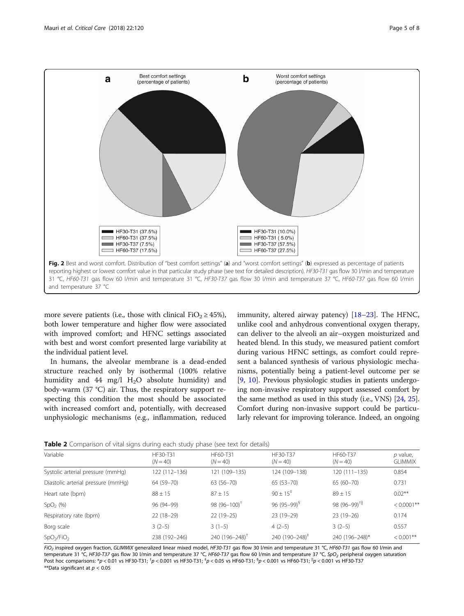<span id="page-4-0"></span>

more severe patients (i.e., those with clinical FiO<sub>2</sub>  $\geq$  45%), both lower temperature and higher flow were associated with improved comfort; and HFNC settings associated with best and worst comfort presented large variability at the individual patient level.

In humans, the alveolar membrane is a dead-ended structure reached only by isothermal (100% relative humidity and 44 mg/l  $H<sub>2</sub>O$  absolute humidity) and body-warm (37 °C) air. Thus, the respiratory support respecting this condition the most should be associated with increased comfort and, potentially, with decreased unphysiologic mechanisms (e.g., inflammation, reduced immunity, altered airway patency) [\[18](#page-6-0)–[23\]](#page-7-0). The HFNC, unlike cool and anhydrous conventional oxygen therapy, can deliver to the alveoli an air–oxygen moisturized and heated blend. In this study, we measured patient comfort during various HFNC settings, as comfort could represent a balanced synthesis of various physiologic mechanisms, potentially being a patient-level outcome per se [[9,](#page-6-0) [10\]](#page-6-0). Previous physiologic studies in patients undergoing non-invasive respiratory support assessed comfort by the same method as used in this study (i.e., VNS) [\[24,](#page-7-0) [25](#page-7-0)]. Comfort during non-invasive support could be particularly relevant for improving tolerance. Indeed, an ongoing



| $\tilde{\phantom{a}}$              | $\sim$ $\sim$          |                             |                            |                           |                            |
|------------------------------------|------------------------|-----------------------------|----------------------------|---------------------------|----------------------------|
| Variable                           | HF30-T31<br>$(N = 40)$ | HF60-T31<br>$(N = 40)$      | HF30-T37<br>$(N = 40)$     | HF60-T37<br>$(N = 40)$    | p value,<br><b>GLIMMIX</b> |
| Systolic arterial pressure (mmHg)  | 122 (112-136)          | 121 (109-135)               | 124 (109-138)              | 120 (111–135)             | 0.854                      |
| Diastolic arterial pressure (mmHq) | 64 (59-70)             | $63(56 - 70)$               | $65(53 - 70)$              | $65(60 - 70)$             | 0.731                      |
| Heart rate (bpm)                   | $88 \pm 15$            | $87 + 15$                   | $90 \pm 15^{+}$            | $89 + 15$                 | $0.02**$                   |
| $SpO2$ (%)                         | 96 (94-99)             | 98 $(96 - 100)^{\dagger}$   | $96 (95 - 99)^{9}$         | 98 (96-99) <sup>†  </sup> | $< 0.0001$ **              |
| Respiratory rate (bpm)             | $22(18-29)$            | $22(19-25)$                 | $23(19-29)$                | $23(19-26)$               | 0.174                      |
| Borg scale                         | $3(2-5)$               | $3(1-5)$                    | $4(2-5)$                   | $3(2-5)$                  | 0.557                      |
| SpO <sub>2</sub> /FiO <sub>2</sub> | 238 (192-246)          | 240 $(196 - 248)^{\dagger}$ | 240 (190-248) <sup>+</sup> | 240 (196-248)*            | $< 0.001$ **               |

FiO<sub>2</sub> inspired oxygen fraction, GLIMMIX generalized linear mixed model, HF30-T31 gas flow 30 l/min and temperature 31 °C, HF60-T31 gas flow 60 l/min and temperature 31 °C, HF30-T37 gas flow 30 l/min and temperature 37 °C, HF60-T37 gas flow 60 l/min and temperature 37 °C, SpO<sub>2</sub> peripheral oxygen saturation Post hoc comparisons: \*p < 0.01 vs HF30-T31; <sup>†</sup>p < 0.001 vs HF30-T31; <sup>\*</sup>p < 0.05 vs HF60-T31; <sup>\$</sup>p < 0.001 vs HF60-T31; <sup>\$</sup>p < 0.001 vs HF60-T31; <sup>\$p</sup> < 0.001 vs HF30-T37; <sup>\$p</sup> < 0.001 vs HF30-T37; <sup>\$p</sup> < 0.001 vs HF40-\*\*Data significant at  $p < 0.05$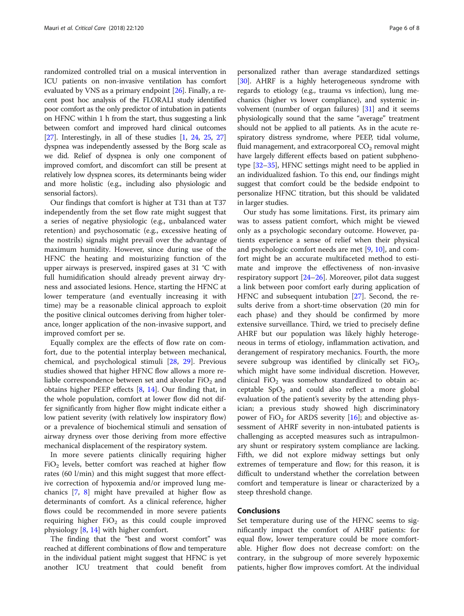randomized controlled trial on a musical intervention in ICU patients on non-invasive ventilation has comfort evaluated by VNS as a primary endpoint [\[26\]](#page-7-0). Finally, a recent post hoc analysis of the FLORALI study identified poor comfort as the only predictor of intubation in patients on HFNC within 1 h from the start, thus suggesting a link between comfort and improved hard clinical outcomes [[27](#page-7-0)]. Interestingly, in all of these studies  $[1, 24, 25, 27]$  $[1, 24, 25, 27]$  $[1, 24, 25, 27]$  $[1, 24, 25, 27]$  $[1, 24, 25, 27]$  $[1, 24, 25, 27]$  $[1, 24, 25, 27]$ dyspnea was independently assessed by the Borg scale as we did. Relief of dyspnea is only one component of improved comfort, and discomfort can still be present at relatively low dyspnea scores, its determinants being wider and more holistic (e.g., including also physiologic and sensorial factors).

Our findings that comfort is higher at T31 than at T37 independently from the set flow rate might suggest that a series of negative physiologic (e.g., unbalanced water retention) and psychosomatic (e.g., excessive heating of the nostrils) signals might prevail over the advantage of maximum humidity. However, since during use of the HFNC the heating and moisturizing function of the upper airways is preserved, inspired gases at 31 °C with full humidification should already prevent airway dryness and associated lesions. Hence, starting the HFNC at lower temperature (and eventually increasing it with time) may be a reasonable clinical approach to exploit the positive clinical outcomes deriving from higher tolerance, longer application of the non-invasive support, and improved comfort per se.

Equally complex are the effects of flow rate on comfort, due to the potential interplay between mechanical, chemical, and psychological stimuli [[28](#page-7-0), [29\]](#page-7-0). Previous studies showed that higher HFNC flow allows a more reliable correspondence between set and alveolar  $FiO<sub>2</sub>$  and obtains higher PEEP effects [\[8](#page-6-0), [14\]](#page-6-0). Our finding that, in the whole population, comfort at lower flow did not differ significantly from higher flow might indicate either a low patient severity (with relatively low inspiratory flow) or a prevalence of biochemical stimuli and sensation of airway dryness over those deriving from more effective mechanical displacement of the respiratory system.

In more severe patients clinically requiring higher  $FiO<sub>2</sub>$  levels, better comfort was reached at higher flow rates (60 l/min) and this might suggest that more effective correction of hypoxemia and/or improved lung mechanics [\[7](#page-6-0), [8](#page-6-0)] might have prevailed at higher flow as determinants of comfort. As a clinical reference, higher flows could be recommended in more severe patients requiring higher  $FiO<sub>2</sub>$  as this could couple improved physiology [[8,](#page-6-0) [14\]](#page-6-0) with higher comfort.

The finding that the "best and worst comfort" was reached at different combinations of flow and temperature in the individual patient might suggest that HFNC is yet another ICU treatment that could benefit from

personalized rather than average standardized settings [[30](#page-7-0)]. AHRF is a highly heterogeneous syndrome with regards to etiology (e.g., trauma vs infection), lung mechanics (higher vs lower compliance), and systemic involvement (number of organ failures) [\[31\]](#page-7-0) and it seems physiologically sound that the same "average" treatment should not be applied to all patients. As in the acute respiratory distress syndrome, where PEEP, tidal volume, fluid management, and extracorporeal  $CO<sub>2</sub>$  removal might have largely different effects based on patient subphenotype [\[32](#page-7-0)–[35](#page-7-0)], HFNC settings might need to be applied in an individualized fashion. To this end, our findings might suggest that comfort could be the bedside endpoint to personalize HFNC titration, but this should be validated in larger studies.

Our study has some limitations. First, its primary aim was to assess patient comfort, which might be viewed only as a psychologic secondary outcome. However, patients experience a sense of relief when their physical and psychologic comfort needs are met [[9](#page-6-0), [10](#page-6-0)], and comfort might be an accurate multifaceted method to estimate and improve the effectiveness of non-invasive respiratory support [\[24](#page-7-0)–[26\]](#page-7-0). Moreover, pilot data suggest a link between poor comfort early during application of HFNC and subsequent intubation [[27](#page-7-0)]. Second, the results derive from a short-time observation (20 min for each phase) and they should be confirmed by more extensive surveillance. Third, we tried to precisely define AHRF but our population was likely highly heterogeneous in terms of etiology, inflammation activation, and derangement of respiratory mechanics. Fourth, the more severe subgroup was identified by clinically set  $FiO<sub>2</sub>$ , which might have some individual discretion. However, clinical FiO<sub>2</sub> was somehow standardized to obtain acceptable  $SpO<sub>2</sub>$  and could also reflect a more global evaluation of the patient's severity by the attending physician; a previous study showed high discriminatory power of FiO<sub>2</sub> for ARDS severity  $[16]$  $[16]$ ; and objective assessment of AHRF severity in non-intubated patients is challenging as accepted measures such as intrapulmonary shunt or respiratory system compliance are lacking. Fifth, we did not explore midway settings but only extremes of temperature and flow; for this reason, it is difficult to understand whether the correlation between comfort and temperature is linear or characterized by a steep threshold change.

# Conclusions

Set temperature during use of the HFNC seems to significantly impact the comfort of AHRF patients: for equal flow, lower temperature could be more comfortable. Higher flow does not decrease comfort: on the contrary, in the subgroup of more severely hypoxemic patients, higher flow improves comfort. At the individual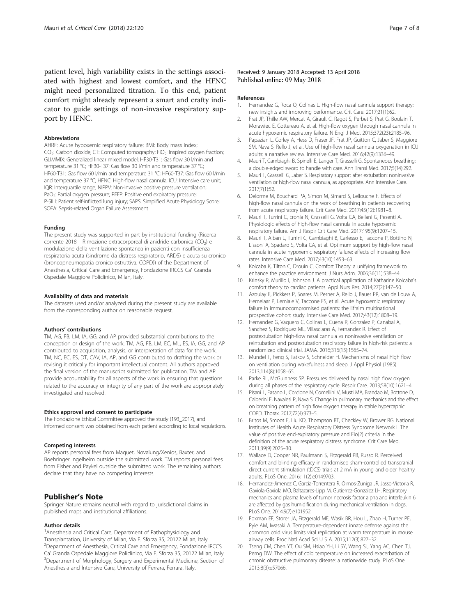<span id="page-6-0"></span>patient level, high variability exists in the settings associated with highest and lowest comfort, and the HFNC might need personalized titration. To this end, patient comfort might already represent a smart and crafty indicator to guide settings of non-invasive respiratory support by HFNC.

#### Abbreviations

AHRF: Acute hypoxemic respiratory failure; BMI: Body mass index; CO<sub>2</sub>: Carbon dioxide: CT: Computed tomography: FiO<sub>2</sub>: Inspired oxygen fraction: GLIMMIX: Generalized linear mixed model; HF30-T31: Gas flow 30 l/min and temperature 31 °C; HF30-T37: Gas flow 30 l/min and temperature 37 °C; HF60-T31: Gas flow 60 l/min and temperature 31 °C; HF60-T37: Gas flow 60 l/min and temperature 37 °C; HFNC: High-flow nasal cannula; ICU: Intensive care unit; IQR: Interquartile range; NIPPV: Non-invasive positive pressure ventilation; PaO<sub>2</sub>: Partial oxygen pressure; PEEP: Positive end expiratory pressure; P-SILI: Patient self-inflicted lung injury; SAPS: Simplified Acute Physiology Score; SOFA: Sepsis-related Organ Failure Assessment

#### Funding

The present study was supported in part by institutional funding (Ricerca corrente 2018—Rimozione extracorporeal di anidride carbonica (CO<sub>2</sub>) e modulazione della ventilazione spontanea in pazienti con insufficienza respiratoria acuta (sindrome da distress respiratorio, ARDS) e acuta su cronico (broncopneumopatia cronico ostruttiva, COPD)) of the Department of Anesthesia, Critical Care and Emergency, Fondazione IRCCS Ca′ Granda Ospedale Maggiore Policlinico, Milan, Italy.

#### Availability of data and materials

The datasets used and/or analyzed during the present study are available from the corresponding author on reasonable request.

#### Authors' contributions

TM, AG, FB, LM, IA, GG, and AP provided substantial contributions to the conception or design of the work. TM, AG, FB, LM, EC, ML, ES, IA, GG, and AP contributed to acquisition, analysis, or interpretation of data for the work. TM, NC, EC, ES, DT, CAV, IA, AP, and GG contributed to drafting the work or revising it critically for important intellectual content. All authors approved the final version of the manuscript submitted for publication. TM and AP provide accountability for all aspects of the work in ensuring that questions related to the accuracy or integrity of any part of the work are appropriately investigated and resolved.

#### Ethics approval and consent to participate

The Fondazione Ethical Committee approved the study (193\_2017), and informed consent was obtained from each patient according to local regulations.

# Competing interests

AP reports personal fees from Maquet, Novalung/Xenios, Baxter, and Boehringer Ingelheim outside the submitted work. TM reports personal fees from Fisher and Paykel outside the submitted work. The remaining authors declare that they have no competing interests.

# Publisher's Note

Springer Nature remains neutral with regard to jurisdictional claims in published maps and institutional affiliations.

# Author details

<sup>1</sup> Anesthesia and Critical Care, Department of Pathophysiology and Transplantation, University of Milan, Via F. Sforza 35, 20122 Milan, Italy. <sup>2</sup> Department of Anesthesia, Critical Care and Emergency, Fondazione IRCCS Ca' Granda Ospedale Maggiore Policlinico, Via F. Sforza 35, 20122 Milan, Italy. <sup>3</sup>Department of Morphology, Surgery and Experimental Medicine, Section of Anesthesia and Intensive Care, University of Ferrara, Ferrara, Italy.

#### References

- 1. Hernandez G, Roca O, Colinas L. High-flow nasal cannula support therapy: new insights and improving performance. Crit Care. 2017;21(1):62.
- 2. Frat JP, Thille AW, Mercat A, Girault C, Ragot S, Perbet S, Prat G, Boulain T, Morawiec E, Cottereau A, et al. High-flow oxygen through nasal cannula in acute hypoxemic respiratory failure. N Engl J Med. 2015;372(23):2185–96.
- 3. Papazian L, Corley A, Hess D, Fraser JF, Frat JP, Guitton C, Jaber S, Maggiore SM, Nava S, Rello J, et al. Use of high-flow nasal cannula oxygenation in ICU adults: a narrative review. Intensive Care Med. 2016;42(9):1336–49.
- 4. Mauri T, Cambiaghi B, Spinelli E, Langer T, Grasselli G. Spontaneous breathing: a double-edged sword to handle with care. Ann Transl Med. 2017;5(14):292.
- 5. Mauri T, Grasselli G, Jaber S. Respiratory support after extubation: noninvasive ventilation or high-flow nasal cannula, as appropriate. Ann Intensive Care. 2017;7(1):52.
- Delorme M, Bouchard PA, Simon M, Simard S, Lellouche F. Effects of high-flow nasal cannula on the work of breathing in patients recovering from acute respiratory failure. Crit Care Med. 2017;45(12):1981–8.
- 7. Mauri T, Turrini C, Eronia N, Grasselli G, Volta CA, Bellani G, Pesenti A. Physiologic effects of high-flow nasal cannula in acute hypoxemic respiratory failure. Am J Respir Crit Care Med. 2017;195(9):1207–15.
- 8. Mauri T, Alban L, Turrini C, Cambiaghi B, Carlesso E, Taccone P, Bottino N, Lissoni A, Spadaro S, Volta CA, et al. Optimum support by high-flow nasal cannula in acute hypoxemic respiratory failure: effects of increasing flow rates. Intensive Care Med. 2017;43(10):1453–63.
- Kolcaba K, Tilton C, Drouin C. Comfort Theory: a unifying framework to enhance the practice environment. J Nurs Adm. 2006;36(11):538–44.
- 10. Krinsky R, Murillo I, Johnson J. A practical application of Katharine Kolcaba's comfort theory to cardiac patients. Appl Nurs Res. 2014;27(2):147–50.
- 11. Azoulay E, Pickkers P, Soares M, Perner A, Rello J, Bauer PR, van de Louw A, Hemelaar P, Lemiale V, Taccone FS, et al. Acute hypoxemic respiratory failure in immunocompromised patients: the Efraim multinational prospective cohort study. Intensive Care Med. 2017;43(12):1808–19.
- 12. Hernandez G, Vaquero C, Colinas L, Cuena R, Gonzalez P, Canabal A, Sanchez S, Rodriguez ML, Villasclaras A, Fernandez R. Effect of postextubation high-flow nasal cannula vs noninvasive ventilation on reintubation and postextubation respiratory failure in high-risk patients: a randomized clinical trial. JAMA. 2016;316(15):1565–74.
- 13. Mundel T, Feng S, Tatkov S, Schneider H. Mechanisms of nasal high flow on ventilation during wakefulness and sleep. J Appl Physiol (1985). 2013;114(8):1058–65.
- 14. Parke RL, McGuinness SP. Pressures delivered by nasal high flow oxygen during all phases of the respiratory cycle. Respir Care. 2013;58(10):1621–4.
- 15. Pisani L, Fasano L, Corcione N, Comellini V, Musti MA, Brandao M, Bottone D, Calderini E, Navalesi P, Nava S. Change in pulmonary mechanics and the effect on breathing pattern of high flow oxygen therapy in stable hypercapnic COPD. Thorax. 2017;72(4):373–5.
- 16. Britos M, Smoot E, Liu KD, Thompson BT, Checkley W, Brower RG. National Institutes of Health Acute Respiratory Distress Syndrome Network I. The value of positive end-expiratory pressure and Fio(2) criteria in the definition of the acute respiratory distress syndrome. Crit Care Med. 2011;39(9):2025–30.
- 17. Wallace D, Cooper NR, Paulmann S, Fitzgerald PB, Russo R. Perceived comfort and blinding efficacy in randomised sham-controlled transcranial direct current stimulation (tDCS) trials at 2 mA in young and older healthy adults. PLoS One. 2016;11(2):e0149703.
- 18. Hernandez-Jimenez C, Garcia-Torrentera R, Olmos-Zuniga JR, Jasso-Victoria R, Gaxiola-Gaxiola MO, Baltazares-Lipp M, Gutierrez-Gonzalez LH. Respiratory mechanics and plasma levels of tumor necrosis factor alpha and interleukin 6 are affected by gas humidification during mechanical ventilation in dogs. PLoS One. 2014;9(7):e101952.
- 19. Foxman EF, Storer JA, Fitzgerald ME, Wasik BR, Hou L, Zhao H, Turner PE, Pyle AM, Iwasaki A. Temperature-dependent innate defense against the common cold virus limits viral replication at warm temperature in mouse airway cells. Proc Natl Acad Sci U S A. 2015;112(3):827–32.
- 20. Tseng CM, Chen YT, Ou SM, Hsiao YH, Li SY, Wang SJ, Yang AC, Chen TJ, Perng DW. The effect of cold temperature on increased exacerbation of chronic obstructive pulmonary disease: a nationwide study. PLoS One. 2013;8(3):e57066.